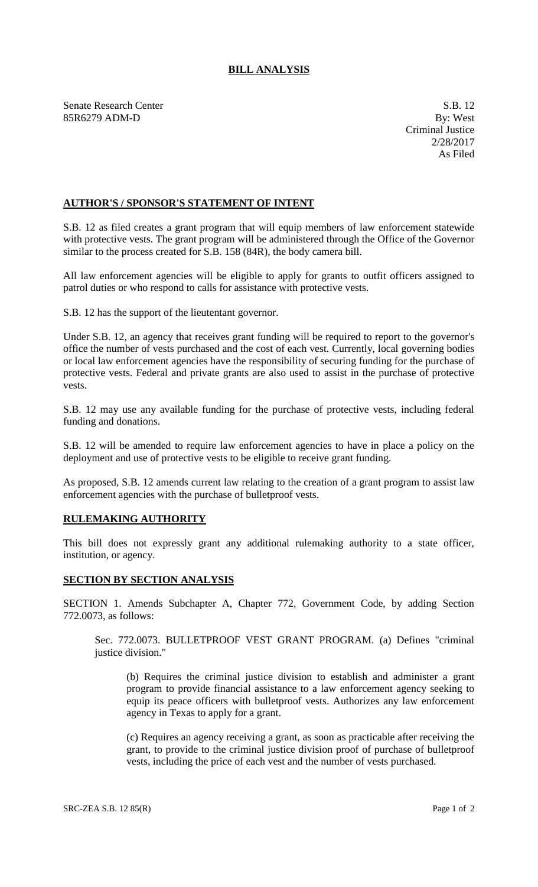## **BILL ANALYSIS**

Senate Research Center S.B. 12 85R6279 ADM-D By: West

## **AUTHOR'S / SPONSOR'S STATEMENT OF INTENT**

S.B. 12 as filed creates a grant program that will equip members of law enforcement statewide with protective vests. The grant program will be administered through the Office of the Governor similar to the process created for S.B. 158 (84R), the body camera bill.

All law enforcement agencies will be eligible to apply for grants to outfit officers assigned to patrol duties or who respond to calls for assistance with protective vests.

S.B. 12 has the support of the lieutentant governor.

Under S.B. 12, an agency that receives grant funding will be required to report to the governor's office the number of vests purchased and the cost of each vest. Currently, local governing bodies or local law enforcement agencies have the responsibility of securing funding for the purchase of protective vests. Federal and private grants are also used to assist in the purchase of protective vests.

S.B. 12 may use any available funding for the purchase of protective vests, including federal funding and donations.

S.B. 12 will be amended to require law enforcement agencies to have in place a policy on the deployment and use of protective vests to be eligible to receive grant funding.

As proposed, S.B. 12 amends current law relating to the creation of a grant program to assist law enforcement agencies with the purchase of bulletproof vests.

## **RULEMAKING AUTHORITY**

This bill does not expressly grant any additional rulemaking authority to a state officer, institution, or agency.

## **SECTION BY SECTION ANALYSIS**

SECTION 1. Amends Subchapter A, Chapter 772, Government Code, by adding Section 772.0073, as follows:

Sec. 772.0073. BULLETPROOF VEST GRANT PROGRAM. (a) Defines "criminal justice division."

(b) Requires the criminal justice division to establish and administer a grant program to provide financial assistance to a law enforcement agency seeking to equip its peace officers with bulletproof vests. Authorizes any law enforcement agency in Texas to apply for a grant.

(c) Requires an agency receiving a grant, as soon as practicable after receiving the grant, to provide to the criminal justice division proof of purchase of bulletproof vests, including the price of each vest and the number of vests purchased.